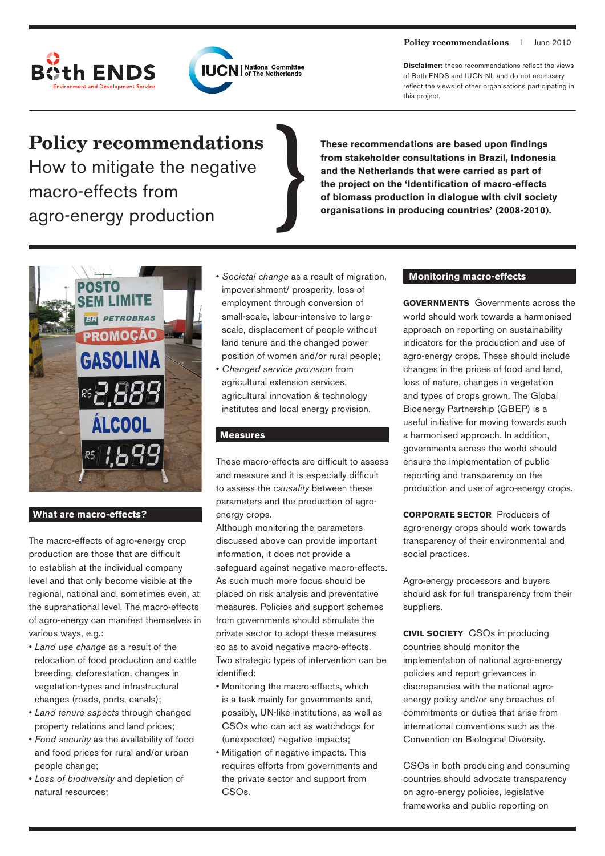



**Disclaimer:** these recommendations reflect the views of Both ENDS and IUCN NL and do not necessary reflect the views of other organisations participating in this project.

# **Policy recommendations**

How to mitigate the negative macro-effects from agro-energy production

**These recommendations are based upon findings from stakeholder consultations in Brazil, Indonesia and the Netherlands that were carried as part of the project on the 'Identification of macro-effects**  These recommendations are based upon findings<br>from stakeholder consultations in Brazil, Indonesia<br>and the Netherlands that were carried as part of<br>the project on the 'Identification of macro-effects<br>of biomass production i



## **What are macro-effects?**

The macro-effects of agro-energy crop production are those that are difficult to establish at the individual company level and that only become visible at the regional, national and, sometimes even, at the supranational level. The macro-effects of agro-energy can manifest themselves in various ways, e.g.:

- *Land use change* as a result of the relocation of food production and cattle breeding, deforestation, changes in vegetation-types and infrastructural changes (roads, ports, canals);
- *Land tenure aspects* through changed property relations and land prices;
- *Food security* as the availability of food and food prices for rural and/or urban people change;
- *Loss of biodiversity* and depletion of natural resources;
- *Societal change* as a result of migration, impoverishment/ prosperity, loss of employment through conversion of small-scale, labour-intensive to largescale, displacement of people without land tenure and the changed power position of women and/or rural people;
- *Changed service provision* from agricultural extension services, agricultural innovation & technology institutes and local energy provision.

## **Measures**

These macro-effects are difficult to assess and measure and it is especially difficult to assess the *causality* between these parameters and the production of agroenergy crops.

Although monitoring the parameters discussed above can provide important information, it does not provide a safeguard against negative macro-effects. As such much more focus should be placed on risk analysis and preventative measures. Policies and support schemes from governments should stimulate the private sector to adopt these measures so as to avoid negative macro-effects. Two strategic types of intervention can be identified:

- Monitoring the macro-effects, which is a task mainly for governments and, possibly, UN-like institutions, as well as CSOs who can act as watchdogs for (unexpected) negative impacts;
- Mitigation of negative impacts. This requires efforts from governments and the private sector and support from CSO<sub>s</sub>.

# **Monitoring macro-effects**

**Governments** Governments across the world should work towards a harmonised approach on reporting on sustainability indicators for the production and use of agro-energy crops. These should include changes in the prices of food and land, loss of nature, changes in vegetation and types of crops grown. The Global Bioenergy Partnership (GBEP) is a useful initiative for moving towards such a harmonised approach. In addition, governments across the world should ensure the implementation of public reporting and transparency on the production and use of agro-energy crops.

**Corporate sector** Producers of agro-energy crops should work towards transparency of their environmental and social practices.

Agro-energy processors and buyers should ask for full transparency from their suppliers.

**Civil Society** CSOs in producing countries should monitor the implementation of national agro-energy policies and report grievances in discrepancies with the national agroenergy policy and/or any breaches of commitments or duties that arise from international conventions such as the Convention on Biological Diversity.

CSOs in both producing and consuming countries should advocate transparency on agro-energy policies, legislative frameworks and public reporting on